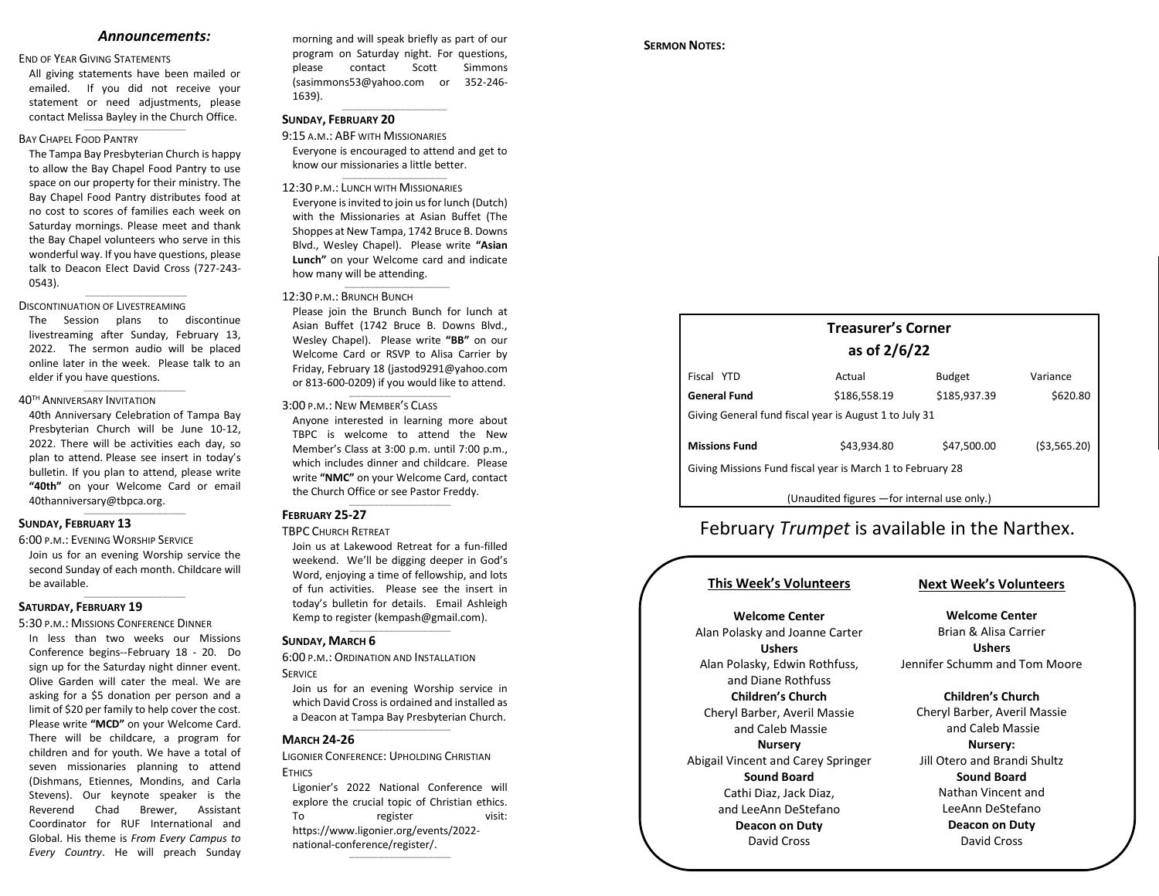#### *Announcements:*

#### END OF YEAR GIVING STATEMENTS

All giving statements have been mailed or emailed. If you did not receive your statement or need adjustments, please contact Melissa Bayley in the Church Office.

 $\_$ 

#### BAY CHAPEL FOOD PANTRY

The Tampa Bay Presbyterian Church is happy to allow the Bay Chapel Food Pantry to use space on our property for their ministry. The Bay Chapel Food Pantry distributes food at no cost to scores of families each week on Saturday mornings. Please meet and thank the Bay Chapel volunteers who serve in this wonderful way. If you have questions, please talk to Deacon Elect David Cross (727-243- 0543).

#### DISCONTINUATION OF LIVESTREAMING

The Session plans to discontinue livestreaming after Sunday, February 13, 2022. The sermon audio will be placed online later in the week. Please talk to an elder if you have questions.

 $\_$ 

 $\_$ 

#### 40TH ANNIVERSARY INVITATION

40th Anniversary Celebration of Tampa Bay Presbyterian Church will be June 10-12, 2022. There will be activities each day, so plan to attend. Please see insert in today's bulletin. If you plan to attend, please write **"40th"** on your Welcome Card or email [40thanniversary@tbpca.org.](mailto:40thanniversary@tbpca.org)  $\_$ 

### **SUNDAY, FEBRUARY 13**

6:00 P.M.: EVENING WORSHIP SERVICE

Join us for an evening Worship service the second Sunday of each month. Childcare will be available.  $\_$ 

### **SATURDAY, FEBRUARY 19**

#### 5:30 P.M.: MISSIONS CONFERENCE DINNER

In less than two weeks our Missions Conference begins--February 18 - 20. Do sign up for the Saturday night dinner event. Olive Garden will cater the meal. We are asking for a \$5 donation per person and a limit of \$20 per family to help cover the cost. Please write **"MCD"** on your Welcome Card. There will be childcare, a program for children and for youth. We have a total of seven missionaries planning to attend (Dishmans, Etiennes, Mondins, and Carla Stevens). Our keynote speaker is the Reverend Chad Brewer, Assistant Coordinator for RUF International and Global. His theme is *From Every Campus to Every Country*. He will preach Sunday

morning and will speak briefly as part of our program on Saturday night. For questions, please contact Scott Simmons [\(sasimmons53@yahoo.com](mailto:sasimmons53@yahoo.com) or 352-246- 1639).  $\_$ 

## **SUNDAY, FEBRUARY 20**

9:15 A.M.: ABF WITH MISSIONARIES Everyone is encouraged to attend and get to know our missionaries a little better. \_\_\_\_\_\_\_\_\_\_\_\_\_\_\_\_\_\_\_\_\_\_\_\_\_\_\_\_\_\_\_\_\_\_\_\_

#### 12:30 P.M.: LUNCH WITH MISSIONARIES

Everyone is invited to join us for lunch (Dutch) with the Missionaries at Asian Buffet (The Shoppes at New Tampa, 1742 Bruce B. Downs Blvd., Wesley Chapel). Please write **"Asian Lunch"** on your Welcome card and indicate how many will be attending.

 $\_$ 

#### 12:30 P.M.: BRUNCH BUNCH

Please join the Brunch Bunch for lunch at Asian Buffet (1742 Bruce B. Downs Blvd., Wesley Chapel). Please write **"BB"** on our Welcome Card or RSVP to Alisa Carrier by Friday, February 18 (jastod9291@yahoo.com or 813-600-0209) if you would like to attend.

 $\_$ 

#### 3:00 P.M.: NEW MEMBER'S CLASS

Anyone interested in learning more about TBPC is welcome to attend the New Member's Class at 3:00 p.m. until 7:00 p.m., which includes dinner and childcare. Please write **"NMC"** on your Welcome Card, contact the Church Office or see Pastor Freddy.

 $\_$ 

#### **FEBRUARY 25-27**

#### TBPC CHURCH RETREAT

Join us at Lakewood Retreat for a fun-filled weekend. We'll be digging deeper in God's Word, enjoying a time of fellowship, and lots of fun activities. Please see the insert in today's bulletin for details. Email Ashleigh Kemp to register [\(kempash@gmail.com\)](mailto:kempash@gmail.com).

 $\_$ 

#### **SUNDAY, MARCH 6**

6:00 P.M.: ORDINATION AND INSTALLATION **SERVICE** 

Join us for an evening Worship service in which David Cross is ordained and installed as a Deacon at Tampa Bay Presbyterian Church.  $\_$ 

## **MARCH 24-26**

LIGONIER CONFERENCE: UPHOLDING CHRISTIAN **FTHICS** 

Ligonier's 2022 National Conference will explore the crucial topic of Christian ethics. To register visit: [https://www.ligonier.org/events/2022](https://www.ligonier.org/events/2022-national-conference/register/) [national-conference/register/.](https://www.ligonier.org/events/2022-national-conference/register/) 

 $\_$ 

### **SERMON NOTES:**

# **Treasurer's Corner as of 2/6/22**

| Fiscal YTD                                                 | Actual       | <b>Budget</b> | Variance     |  |  |
|------------------------------------------------------------|--------------|---------------|--------------|--|--|
| <b>General Fund</b>                                        | \$186.558.19 | \$185.937.39  | \$620.80     |  |  |
| Giving General fund fiscal year is August 1 to July 31     |              |               |              |  |  |
|                                                            |              |               |              |  |  |
| <b>Missions Fund</b>                                       | \$43.934.80  | \$47.500.00   | (53, 565.20) |  |  |
| Giving Missions Fund fiscal year is March 1 to February 28 |              |               |              |  |  |
|                                                            |              |               |              |  |  |

(Unaudited figures —for internal use only.)

# February *Trumpet* is available in the Narthex.

## **This Week's Volunteers**

## **Next Week's Volunteers**

**Welcome Center** Alan Polasky and Joanne Carter **Ushers** Alan Polasky, Edwin Rothfuss, and Diane Rothfuss **Children's Church** Cheryl Barber, Averil Massie and Caleb Massie **Nursery** Abigail Vincent and Carey Springer **Sound Board** Cathi Diaz, Jack Diaz, and LeeAnn DeStefano **Deacon on Duty** David Cross

## **Welcome Center** Brian & Alisa Carrier

**Ushers** Jennifer Schumm and Tom Moore

## **Children's Church**

Cheryl Barber, Averil Massie and Caleb Massie **Nursery:** Jill Otero and Brandi Shultz **Sound Board** Nathan Vincent and LeeAnn DeStefano **Deacon on Duty** David Cross